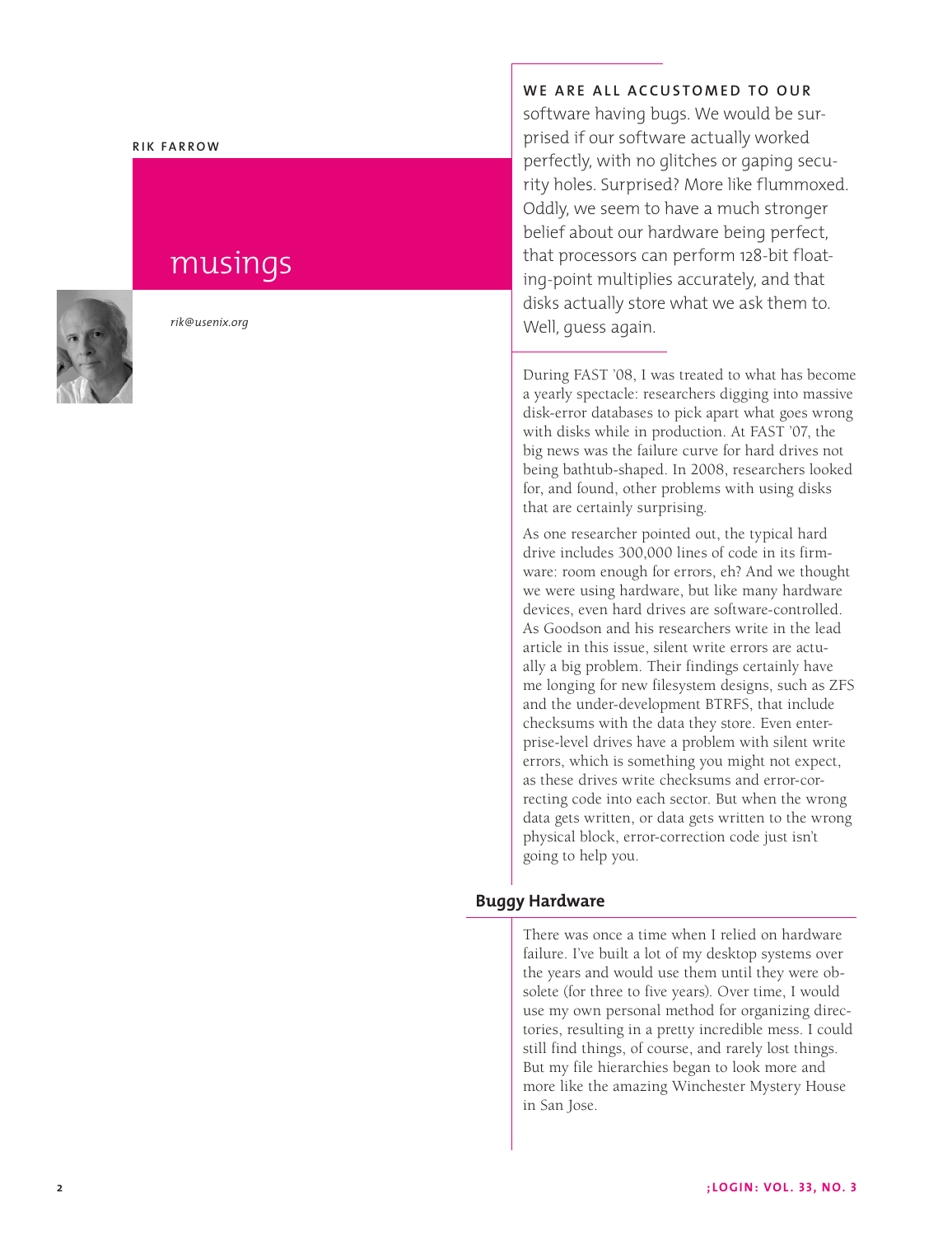#### **R i k F a rr o w**

# musings



*rik@usenix.org*

WE ARE ALL ACCUSTOMED TO OUR

software having bugs. We would be sur prised if our software actually worked perfectly, with no glitches or gaping secu rity holes. Surprised? More like flummoxed. Oddly, we seem to have a much stronger belief about our hardware being perfect, that processors can perform 128-bit float ing-point multiplies accurately, and that disks actually store what we ask them to. Well, guess again.

During FAST '08, I was treated to what has become a yearly spectacle: researchers digging into massive disk-error databases to pick apart what goes wrong with disks while in production. At FAST '07, the big news was the failure curve for hard drives not being bathtub-shaped. In 2008, researchers looked for, and found, other problems with using disks that are certainly surprising.

As one researcher pointed out, the typical hard drive includes 300,000 lines of code in its firm ware: room enough for errors, eh? And we thought we were using hardware, but like many hardware devices, even hard drives are software-controlled. As Goodson and his researchers write in the lead article in this issue, silent write errors are actu ally a big problem. Their findings certainly have me longing for new filesystem designs, such as ZFS and the under-development BTRFS, that include checksums with the data they store. Even enterprise-level drives have a problem with silent write errors, which is something you might not expect, as these drives write checksums and error-correcting code into each sector. But when the wrong data gets written, or data gets written to the wrong physical block, error-correction code just isn't going to help you.

#### **Buggy Hardware**

There was once a time when I relied on hardware failure. I've built a lot of my desktop systems over the years and would use them until they were ob solete (for three to five years). Over time, I would use my own personal method for organizing direc tories, resulting in a pretty incredible mess. I could still find things, of course, and rarely lost things. But my file hierarchies began to look more and more like the amazing Winchester Mystery House in San Jose.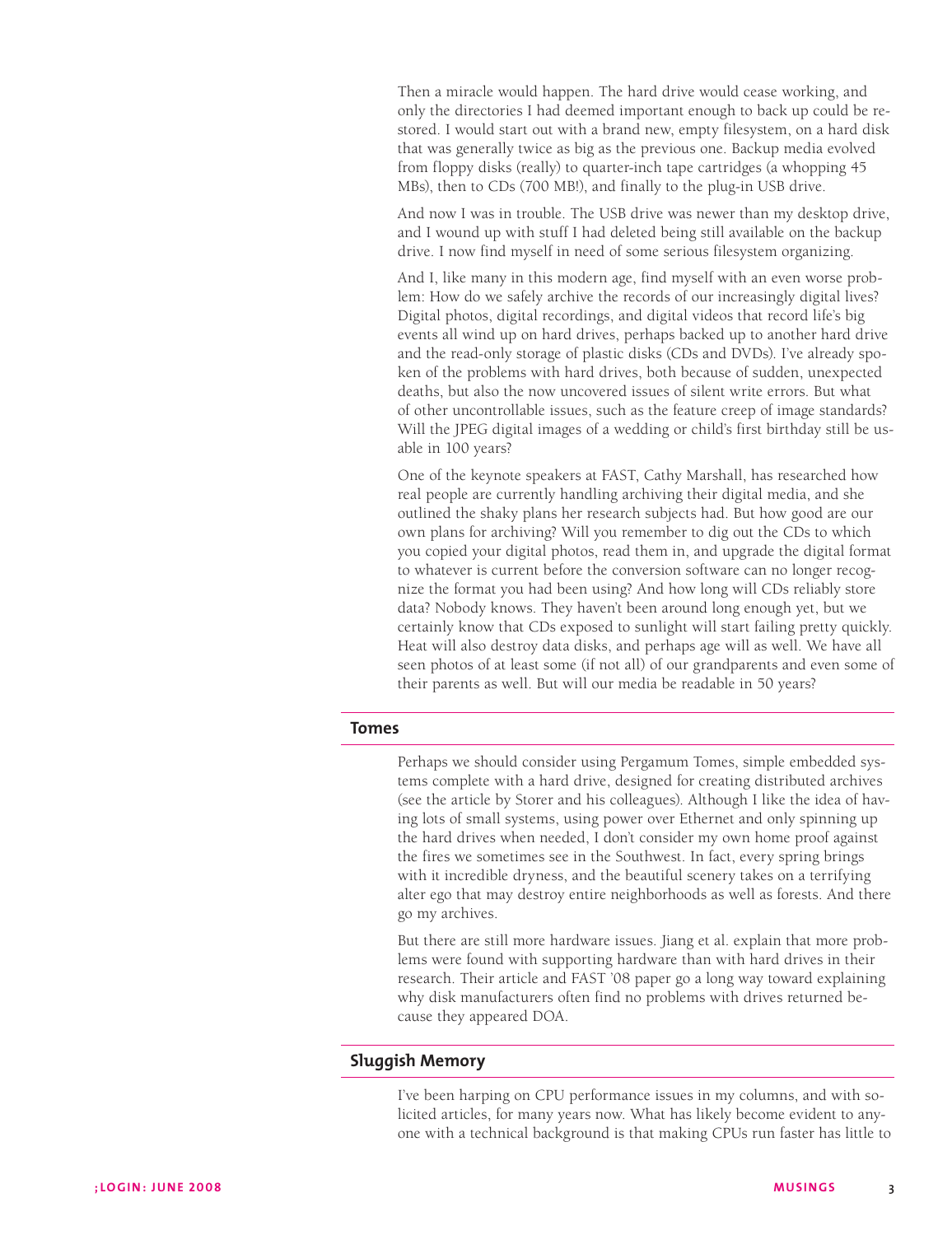Then a miracle would happen. The hard drive would cease working, and only the directories I had deemed important enough to back up could be restored. I would start out with a brand new, empty filesystem, on a hard disk that was generally twice as big as the previous one. Backup media evolved from floppy disks (really) to quarter-inch tape cartridges (a whopping 45 MBs), then to CDs (700 MB!), and finally to the plug-in USB drive.

And now I was in trouble. The USB drive was newer than my desktop drive, and I wound up with stuff I had deleted being still available on the backup drive. I now find myself in need of some serious filesystem organizing.

And I, like many in this modern age, find myself with an even worse problem: How do we safely archive the records of our increasingly digital lives? Digital photos, digital recordings, and digital videos that record life's big events all wind up on hard drives, perhaps backed up to another hard drive and the read-only storage of plastic disks (CDs and DVDs). I've already spoken of the problems with hard drives, both because of sudden, unexpected deaths, but also the now uncovered issues of silent write errors. But what of other uncontrollable issues, such as the feature creep of image standards? Will the JPEG digital images of a wedding or child's first birthday still be usable in 100 years?

One of the keynote speakers at FAST, Cathy Marshall, has researched how real people are currently handling archiving their digital media, and she outlined the shaky plans her research subjects had. But how good are our own plans for archiving? Will you remember to dig out the CDs to which you copied your digital photos, read them in, and upgrade the digital format to whatever is current before the conversion software can no longer recognize the format you had been using? And how long will CDs reliably store data? Nobody knows. They haven't been around long enough yet, but we certainly know that CDs exposed to sunlight will start failing pretty quickly. Heat will also destroy data disks, and perhaps age will as well. We have all seen photos of at least some (if not all) of our grandparents and even some of their parents as well. But will our media be readable in 50 years?

### **Tomes**

Perhaps we should consider using Pergamum Tomes, simple embedded systems complete with a hard drive, designed for creating distributed archives (see the article by Storer and his colleagues). Although I like the idea of having lots of small systems, using power over Ethernet and only spinning up the hard drives when needed, I don't consider my own home proof against the fires we sometimes see in the Southwest. In fact, every spring brings with it incredible dryness, and the beautiful scenery takes on a terrifying alter ego that may destroy entire neighborhoods as well as forests. And there go my archives.

But there are still more hardware issues. Jiang et al. explain that more problems were found with supporting hardware than with hard drives in their research. Their article and FAST '08 paper go a long way toward explaining why disk manufacturers often find no problems with drives returned because they appeared DOA.

# **Sluggish Memory**

I've been harping on CPU performance issues in my columns, and with solicited articles, for many years now. What has likely become evident to anyone with a technical background is that making CPUs run faster has little to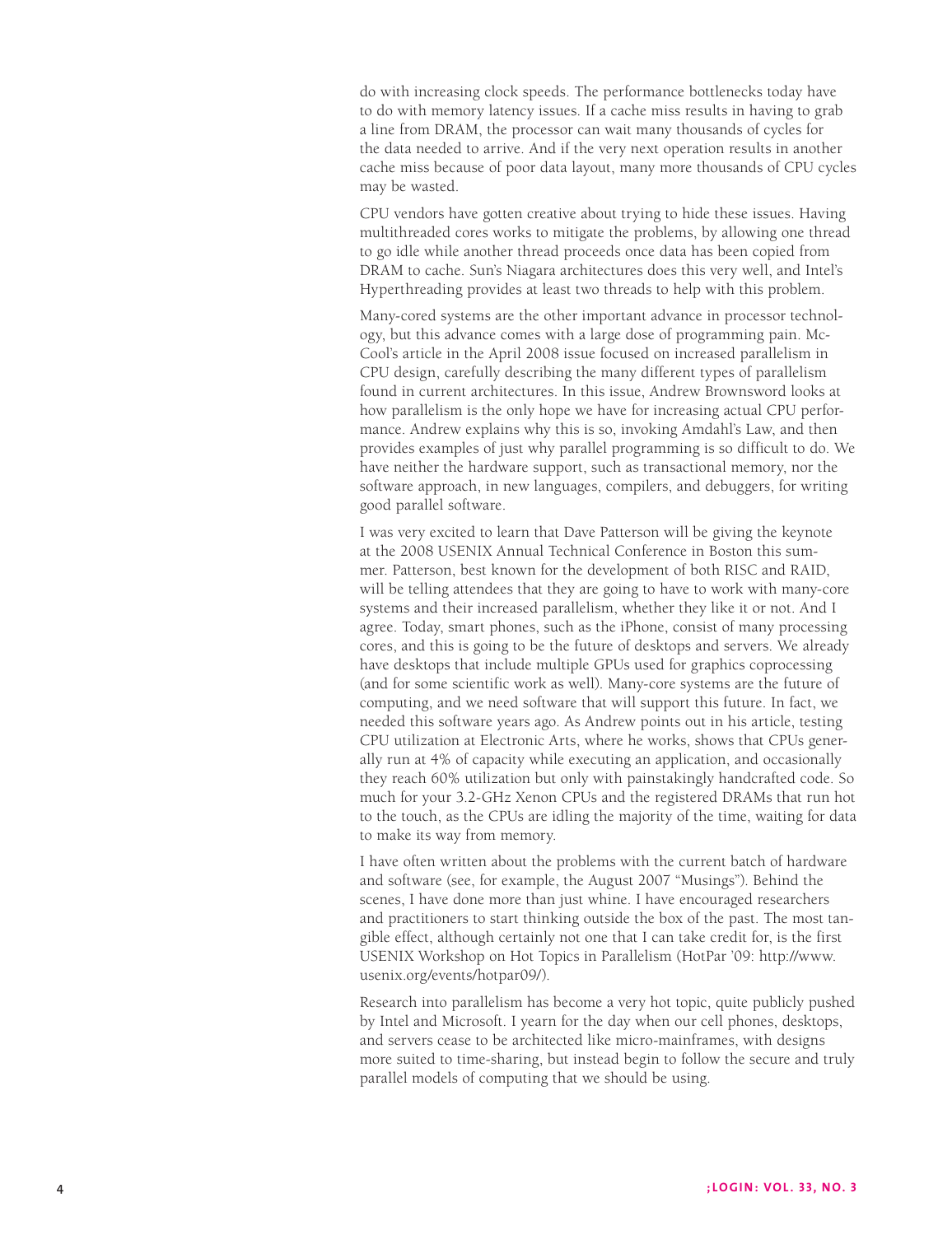do with increasing clock speeds. The performance bottlenecks today have to do with memory latency issues. If a cache miss results in having to grab a line from DRAM, the processor can wait many thousands of cycles for the data needed to arrive. And if the very next operation results in another cache miss because of poor data layout, many more thousands of CPU cycles may be wasted.

CPU vendors have gotten creative about trying to hide these issues. Having multithreaded cores works to mitigate the problems, by allowing one thread to go idle while another thread proceeds once data has been copied from DRAM to cache. Sun's Niagara architectures does this very well, and Intel's Hyperthreading provides at least two threads to help with this problem.

Many-cored systems are the other important advance in processor technol ogy, but this advance comes with a large dose of programming pain. Mc - Cool's article in the April 2008 issue focused on increased parallelism in CPU design, carefully describing the many different types of parallelism found in current architectures. In this issue, Andrew Brownsword looks at how parallelism is the only hope we have for increasing actual CPU performance. Andrew explains why this is so, invoking Amdahl's Law, and then provides examples of just why parallel programming is so difficult to do. We have neither the hardware support, such as transactional memory, nor the software approach, in new languages, compilers, and debuggers, for writing good parallel software.

I was very excited to learn that Dave Patterson will be giving the keynote at the 2008 USENIX Annual Technical Conference in Boston this sum mer. Patterson, best known for the development of both RISC and RAID, will be telling attendees that they are going to have to work with many-core systems and their increased parallelism, whether they like it or not. And I agree. Today, smart phones, such as the iPhone, consist of many processing cores, and this is going to be the future of desktops and servers. We already have desktops that include multiple GPUs used for graphics coprocessing (and for some scientific work as well). Many-core systems are the future of computing, and we need software that will support this future. In fact, we needed this software years ago. As Andrew points out in his article, testing CPU utilization at Electronic Arts, where he works, shows that CPUs generally run at 4% of capacity while executing an application, and occasionally they reach 60% utilization but only with painstakingly handcrafted code. So much for your 3.2-GHz Xenon CPUs and the registered DRAMs that run hot to the touch, as the CPUs are idling the majority of the time, waiting for data to make its way from memory.

I have often written about the problems with the current batch of hardware and software (see, for example, the August 2007 "Musings"). Behind the scenes, I have done more than just whine. I have encouraged researchers and practitioners to start thinking outside the box of the past. The most tan gible effect, although certainly not one that I can take credit for, is the first USENIX Workshop on Hot Topics in Parallelism (HotPar '09: http://www. usenix.org/events/hotpar09/).

Research into parallelism has become a very hot topic, quite publicly pushed by Intel and Microsoft. I yearn for the day when our cell phones, desktops, and servers cease to be architected like micro-mainframes, with designs more suited to time-sharing, but instead begin to follow the secure and truly parallel models of computing that we should be using.